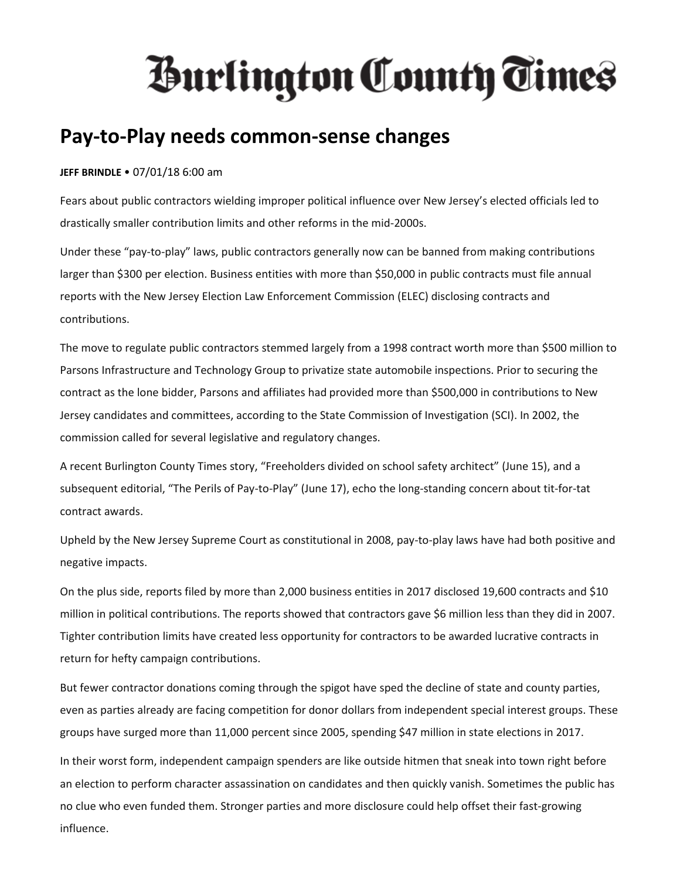## **Hurlington County Times**

## **Pay-to-Play needs common-sense changes**

## **JEFF BRINDLE** • 07/01/18 6:00 am

Fears about public contractors wielding improper political influence over New Jersey's elected officials led to drastically smaller contribution limits and other reforms in the mid-2000s.

Under these "pay-to-play" laws, public contractors generally now can be banned from making contributions larger than \$300 per election. Business entities with more than \$50,000 in public contracts must file annual reports with the New Jersey Election Law Enforcement Commission (ELEC) disclosing contracts and contributions.

The move to regulate public contractors stemmed largely from a 1998 contract worth more than \$500 million to Parsons Infrastructure and Technology Group to privatize state automobile inspections. Prior to securing the contract as the lone bidder, Parsons and affiliates had provided more than \$500,000 in contributions to New Jersey candidates and committees, according to the State Commission of Investigation (SCI). In 2002, the commission called for several legislative and regulatory changes.

A recent Burlington County Times story, "Freeholders divided on school safety architect" (June 15), and a subsequent editorial, "The Perils of Pay-to-Play" (June 17), echo the long-standing concern about tit-for-tat contract awards.

Upheld by the New Jersey Supreme Court as constitutional in 2008, pay-to-play laws have had both positive and negative impacts.

On the plus side, reports filed by more than 2,000 business entities in 2017 disclosed 19,600 contracts and \$10 million in political contributions. The reports showed that contractors gave \$6 million less than they did in 2007. Tighter contribution limits have created less opportunity for contractors to be awarded lucrative contracts in return for hefty campaign contributions.

But fewer contractor donations coming through the spigot have sped the decline of state and county parties, even as parties already are facing competition for donor dollars from independent special interest groups. These groups have surged more than 11,000 percent since 2005, spending \$47 million in state elections in 2017.

In their worst form, independent campaign spenders are like outside hitmen that sneak into town right before an election to perform character assassination on candidates and then quickly vanish. Sometimes the public has no clue who even funded them. Stronger parties and more disclosure could help offset their fast-growing influence.